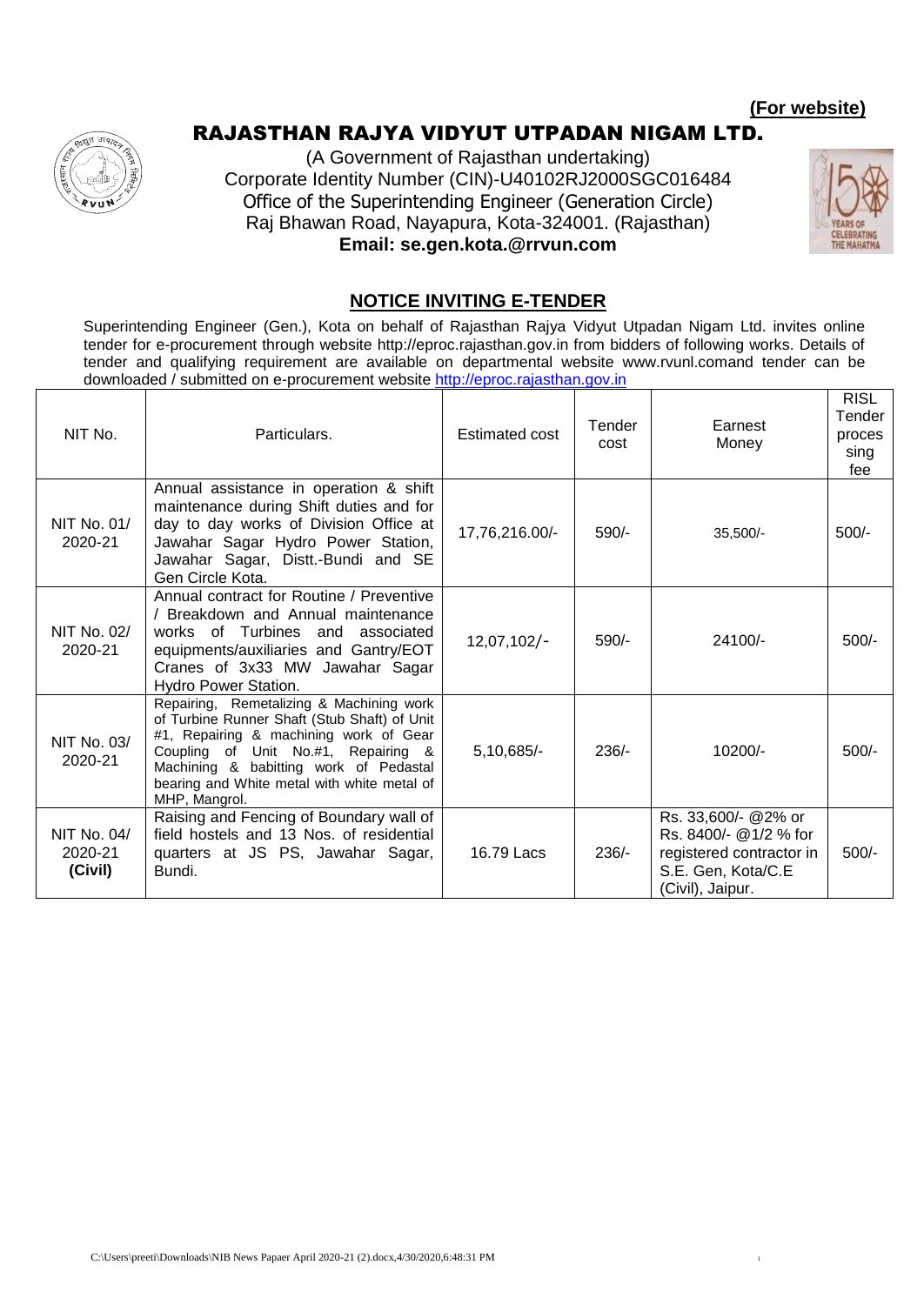#### **(For website)**

# RAJASTHAN RAJYA VIDYUT UTPADAN NIGAM LTD.





#### **NOTICE INVITING E-TENDER**

Superintending Engineer (Gen.), Kota on behalf of Rajasthan Rajya Vidyut Utpadan Nigam Ltd. invites online tender for e-procurement through website http://eproc.rajasthan.gov.in from bidders of following works. Details of tender and qualifying requirement are available on departmental website www.rvunl.comand tender can be downloaded / submitted on e-procurement website [http://eproc.rajasthan.gov.in](http://eproc.rajasthan.gov.in/)  $\overline{\mathbf{E}}$ 

| NIT No.                           | Particulars.                                                                                                                                                                                                                                                                        | <b>Estimated cost</b> | Tender<br>cost | Earnest<br>Money                                                                                                   | RISL<br>Tender<br>proces<br>sing<br>fee |
|-----------------------------------|-------------------------------------------------------------------------------------------------------------------------------------------------------------------------------------------------------------------------------------------------------------------------------------|-----------------------|----------------|--------------------------------------------------------------------------------------------------------------------|-----------------------------------------|
| NIT No. 01/<br>2020-21            | Annual assistance in operation & shift<br>maintenance during Shift duties and for<br>day to day works of Division Office at<br>Jawahar Sagar Hydro Power Station,<br>Jawahar Sagar, Distt.-Bundi and SE<br>Gen Circle Kota.                                                         | 17,76,216.00/-        | $590/-$        | $35,500/-$                                                                                                         | $500/-$                                 |
| NIT No. 02/<br>2020-21            | Annual contract for Routine / Preventive<br>Breakdown and Annual maintenance<br>works of Turbines and<br>associated<br>equipments/auxiliaries and Gantry/EOT<br>Cranes of 3x33 MW Jawahar Sagar<br>Hydro Power Station.                                                             | $12,07,102/-$         | $590/-$        | 24100/-                                                                                                            | $500/-$                                 |
| NIT No. 03/<br>2020-21            | Repairing, Remetalizing & Machining work<br>of Turbine Runner Shaft (Stub Shaft) of Unit<br>#1, Repairing & machining work of Gear<br>Coupling of Unit No.#1, Repairing &<br>Machining & babitting work of Pedastal<br>bearing and White metal with white metal of<br>MHP, Mangrol. | $5,10,685/-$          | $236/-$        | $10200/-$                                                                                                          | $500/-$                                 |
| NIT No. 04/<br>2020-21<br>(Civil) | Raising and Fencing of Boundary wall of<br>field hostels and 13 Nos. of residential<br>quarters at JS PS, Jawahar Sagar,<br>Bundi.                                                                                                                                                  | 16.79 Lacs            | $236/-$        | Rs. 33,600/- @2% or<br>Rs. 8400/- @1/2 % for<br>registered contractor in<br>S.E. Gen, Kota/C.E<br>(Civil), Jaipur. | 500/-                                   |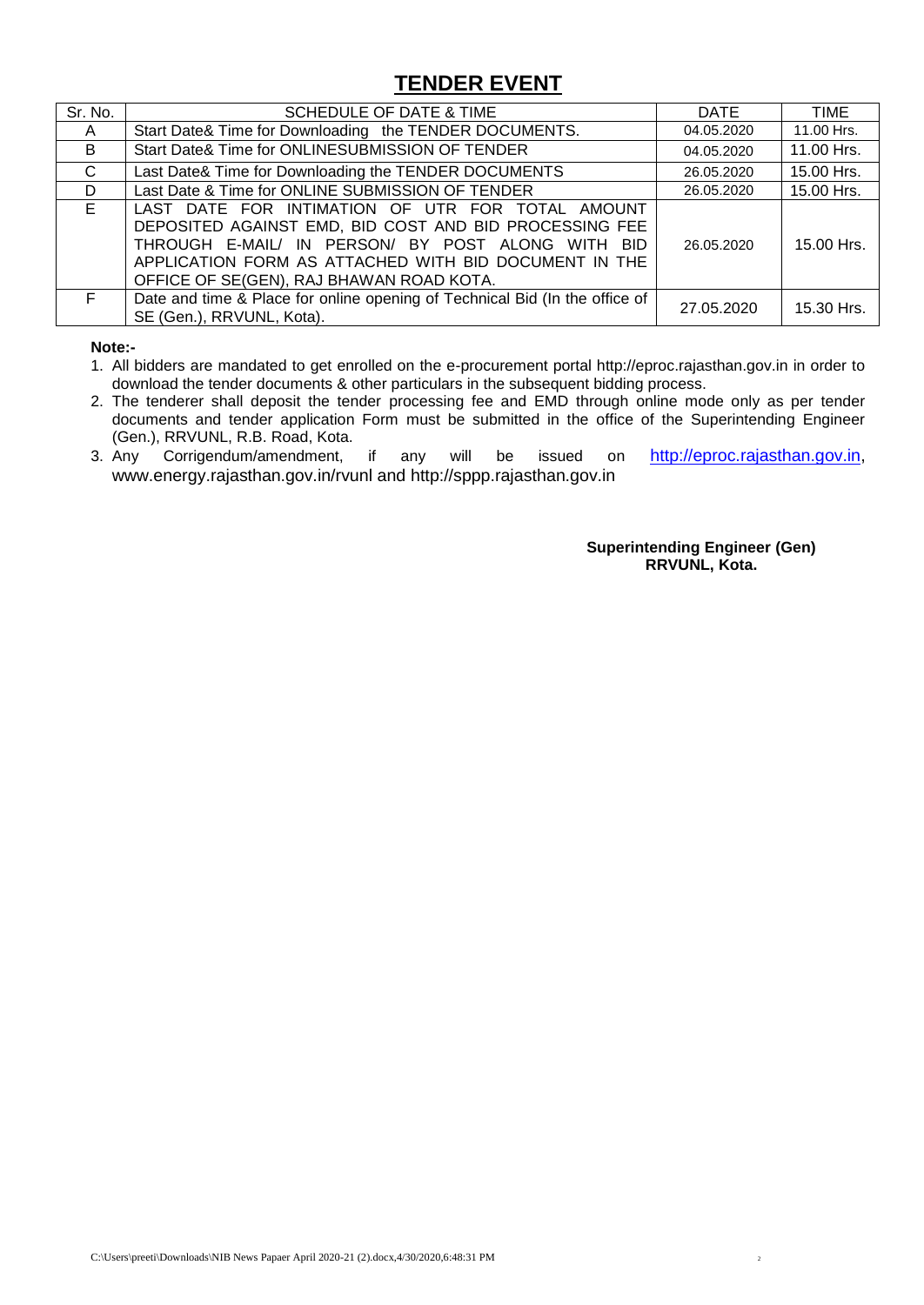# **TENDER EVENT**

| Sr. No. | SCHEDULE OF DATE & TIME                                                                                                                                                                                                                                              | DATE       | <b>TIME</b> |
|---------|----------------------------------------------------------------------------------------------------------------------------------------------------------------------------------------------------------------------------------------------------------------------|------------|-------------|
| A       | Start Date& Time for Downloading the TENDER DOCUMENTS.                                                                                                                                                                                                               | 04.05.2020 | 11.00 Hrs.  |
| B       | Start Date& Time for ONLINESUBMISSION OF TENDER                                                                                                                                                                                                                      | 04.05.2020 | 11.00 Hrs.  |
| C       | Last Date& Time for Downloading the TENDER DOCUMENTS                                                                                                                                                                                                                 | 26.05.2020 | 15.00 Hrs.  |
| D       | Last Date & Time for ONLINE SUBMISSION OF TENDER                                                                                                                                                                                                                     | 26.05.2020 | 15.00 Hrs.  |
| E.      | LAST DATE FOR INTIMATION OF UTR FOR TOTAL AMOUNT<br>DEPOSITED AGAINST EMD, BID COST AND BID PROCESSING FEE<br>THROUGH E-MAIL/ IN PERSON/ BY POST ALONG WITH BID<br>APPLICATION FORM AS ATTACHED WITH BID DOCUMENT IN THE<br>OFFICE OF SE(GEN), RAJ BHAWAN ROAD KOTA. | 26.05.2020 | 15.00 Hrs.  |
| F.      | Date and time & Place for online opening of Technical Bid (In the office of<br>SE (Gen.), RRVUNL, Kota).                                                                                                                                                             | 27.05.2020 | 15.30 Hrs.  |

**Note:-**

1. All bidders are mandated to get enrolled on the e-procurement portal http://eproc.rajasthan.gov.in in order to download the tender documents & other particulars in the subsequent bidding process.

- 2. The tenderer shall deposit the tender processing fee and EMD through online mode only as per tender documents and tender application Form must be submitted in the office of the Superintending Engineer (Gen.), RRVUNL, R.B. Road, Kota.
- 3. Any Corrigendum/amendment, if any will be issued on [http://eproc.rajasthan.gov.in,](http://eproc.rajasthan.gov.in/) www.energy.rajasthan.gov.in/rvunl and http://sppp.rajasthan.gov.in

**Superintending Engineer (Gen) RRVUNL, Kota.**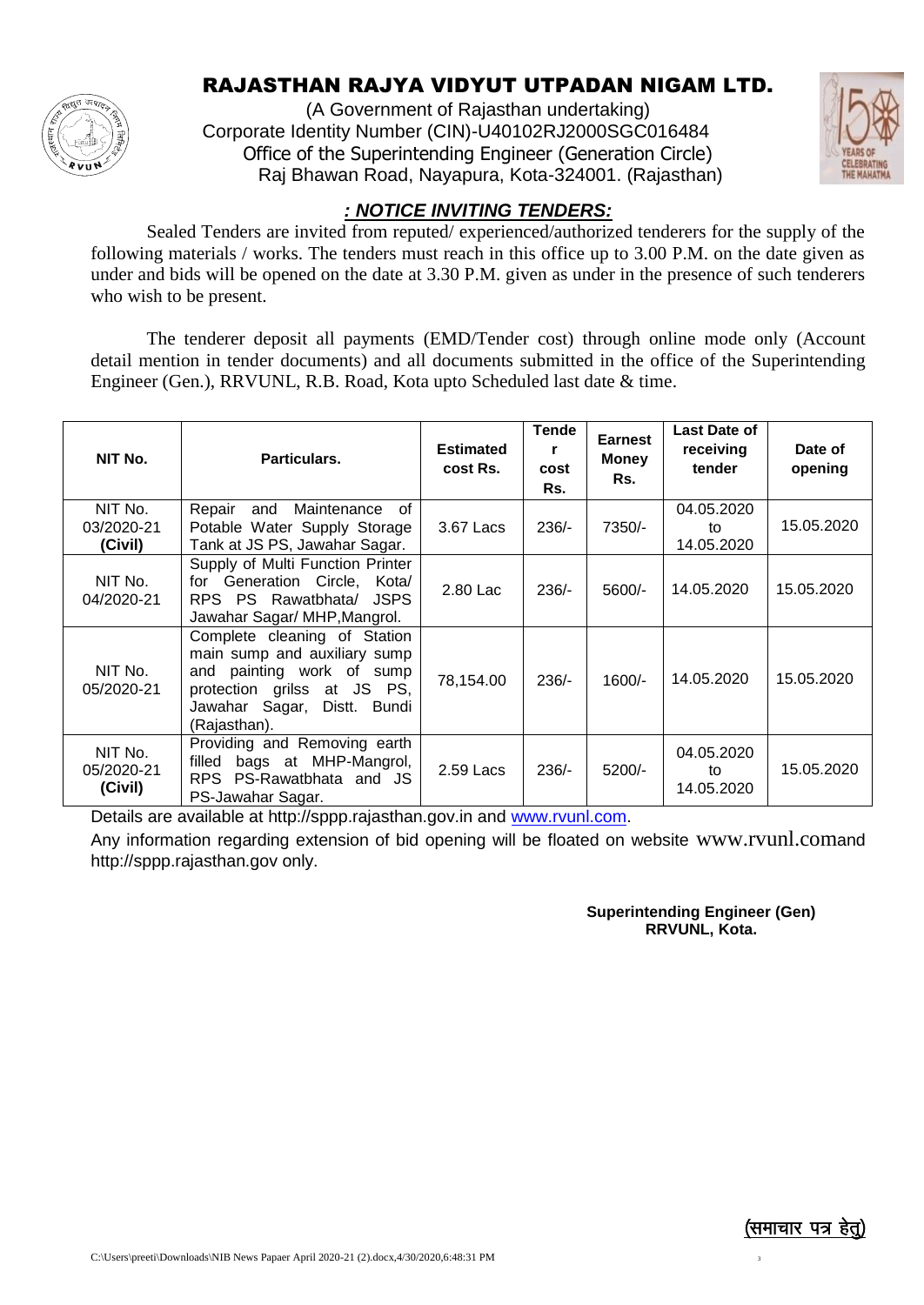

# RAJASTHAN RAJYA VIDYUT UTPADAN NIGAM LTD.

(A Government of Rajasthan undertaking) Corporate Identity Number (CIN)-U40102RJ2000SGC016484 Office of the Superintending Engineer (Generation Circle) Raj Bhawan Road, Nayapura, Kota-324001. (Rajasthan)



#### *: NOTICE INVITING TENDERS:*

Sealed Tenders are invited from reputed/ experienced/authorized tenderers for the supply of the following materials / works. The tenders must reach in this office up to 3.00 P.M. on the date given as under and bids will be opened on the date at 3.30 P.M. given as under in the presence of such tenderers who wish to be present.

The tenderer deposit all payments (EMD/Tender cost) through online mode only (Account detail mention in tender documents) and all documents submitted in the office of the Superintending Engineer (Gen.), RRVUNL, R.B. Road, Kota upto Scheduled last date & time.

| NIT No.                          | Particulars.                                                                                                                                                            | <b>Estimated</b><br>cost Rs. | <b>Tende</b><br>r<br>cost<br>Rs. | <b>Earnest</b><br><b>Money</b><br>Rs. | Last Date of<br>receiving<br>tender | Date of<br>opening |
|----------------------------------|-------------------------------------------------------------------------------------------------------------------------------------------------------------------------|------------------------------|----------------------------------|---------------------------------------|-------------------------------------|--------------------|
| NIT No.<br>03/2020-21<br>(Civil) | Maintenance<br>Repair<br>and<br>of<br>Potable Water Supply Storage<br>Tank at JS PS, Jawahar Sagar.                                                                     | 3.67 Lacs                    | $236/-$                          | 7350/-                                | 04.05.2020<br>to<br>14.05.2020      | 15.05.2020         |
| NIT No.<br>04/2020-21            | Supply of Multi Function Printer<br>for Generation Circle, Kota/<br>RPS PS Rawatbhata/ JSPS<br>Jawahar Sagar/ MHP, Mangrol.                                             | 2.80 Lac                     | $236/-$                          | $5600/-$                              | 14.05.2020                          | 15.05.2020         |
| NIT No.<br>05/2020-21            | Complete cleaning of Station<br>main sump and auxiliary sump<br>and painting work of sump<br>protection grilss at JS PS,<br>Jawahar Sagar, Distt. Bundi<br>(Rajasthan). | 78,154.00                    | $236/-$                          | $1600/-$                              | 14.05.2020                          | 15.05.2020         |
| NIT No.<br>05/2020-21<br>(Civil) | Providing and Removing earth<br>filled bags at MHP-Mangrol,<br>PS-Rawatbhata and JS<br><b>RPS</b><br>PS-Jawahar Sagar.                                                  | 2.59 Lacs                    | $236/-$                          | 5200/-                                | 04.05.2020<br>to<br>14.05.2020      | 15.05.2020         |

Details are available at http://sppp.rajasthan.gov.in and [www.rvunl.com.](http://www.rvunl.com/)

Any information regarding extension of bid opening will be floated on website www.rvunl.comand http://sppp.rajasthan.gov only.

#### **Superintending Engineer (Gen) RRVUNL, Kota.**